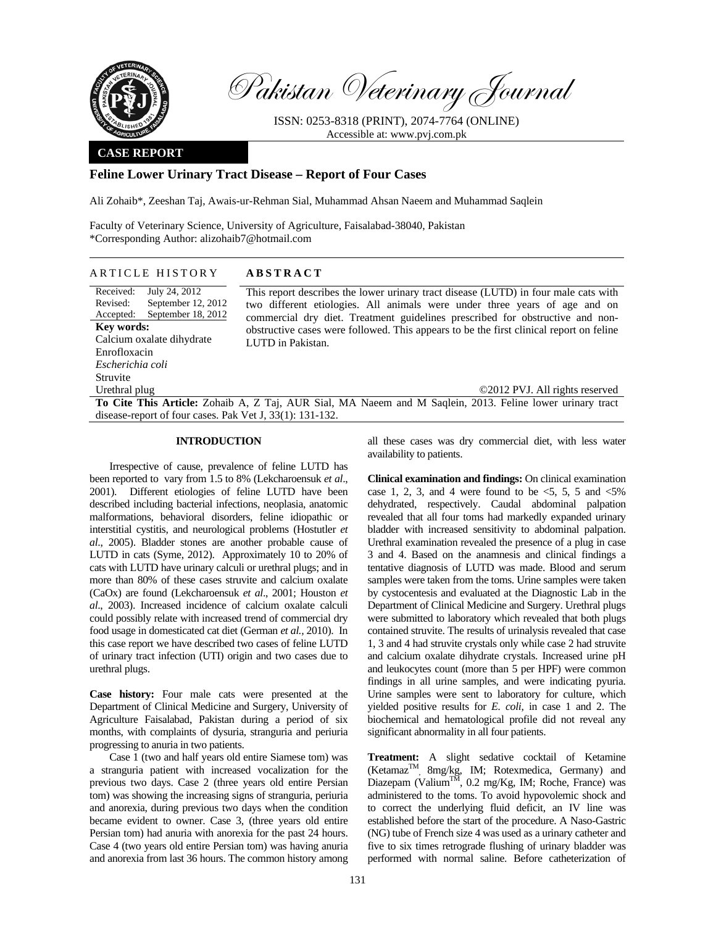

Pakistan Veterinary Journal

ISSN: 0253-8318 (PRINT), 2074-7764 (ONLINE) Accessible at: www.pvj.com.pk

## **CASE REPORT**

# **Feline Lower Urinary Tract Disease – Report of Four Cases**

Ali Zohaib\*, Zeeshan Taj, Awais-ur-Rehman Sial, Muhammad Ahsan Naeem and Muhammad Saqlein

Faculty of Veterinary Science, University of Agriculture, Faisalabad-38040, Pakistan \*Corresponding Author: alizohaib7@hotmail.com

## ARTICLE HISTORY **ABSTRACT**

Received: Revised: Accepted: July 24, 2012 September 12, 2012 September 18, 2012 **Key words:**  Calcium oxalate dihydrate Enrofloxacin *Escherichia coli*  Struvite Urethral plug

This report describes the lower urinary tract disease (LUTD) in four male cats with two different etiologies. All animals were under three years of age and on commercial dry diet. Treatment guidelines prescribed for obstructive and nonobstructive cases were followed. This appears to be the first clinical report on feline LUTD in Pakistan.

©2012 PVJ. All rights reserved **To Cite This Article:** Zohaib A, Z Taj, AUR Sial, MA Naeem and M Saqlein, 2013. Feline lower urinary tract disease-report of four cases. Pak Vet J, 33(1): 131-132.

### **INTRODUCTION**

Irrespective of cause, prevalence of feline LUTD has been reported to vary from 1.5 to 8% (Lekcharoensuk *et al*., 2001). Different etiologies of feline LUTD have been described including bacterial infections, neoplasia, anatomic malformations, behavioral disorders, feline idiopathic or interstitial cystitis, and neurological problems (Hostutler *et al*., 2005). Bladder stones are another probable cause of LUTD in cats (Syme, 2012). Approximately 10 to 20% of cats with LUTD have urinary calculi or urethral plugs; and in more than 80% of these cases struvite and calcium oxalate (CaOx) are found (Lekcharoensuk *et al*., 2001; Houston *et al*., 2003). Increased incidence of calcium oxalate calculi could possibly relate with increased trend of commercial dry food usage in domesticated cat diet (German *et al.,* 2010). In this case report we have described two cases of feline LUTD of urinary tract infection (UTI) origin and two cases due to urethral plugs.

**Case history:** Four male cats were presented at the Department of Clinical Medicine and Surgery, University of Agriculture Faisalabad, Pakistan during a period of six months, with complaints of dysuria, stranguria and periuria progressing to anuria in two patients.

Case 1 (two and half years old entire Siamese tom) was a stranguria patient with increased vocalization for the previous two days. Case 2 (three years old entire Persian tom) was showing the increasing signs of stranguria, periuria and anorexia, during previous two days when the condition became evident to owner. Case 3, (three years old entire Persian tom) had anuria with anorexia for the past 24 hours. Case 4 (two years old entire Persian tom) was having anuria and anorexia from last 36 hours. The common history among

all these cases was dry commercial diet, with less water availability to patients.

**Clinical examination and findings:** On clinical examination case 1, 2, 3, and 4 were found to be  $\leq 5$ , 5, 5 and  $\leq 5\%$ dehydrated, respectively. Caudal abdominal palpation revealed that all four toms had markedly expanded urinary bladder with increased sensitivity to abdominal palpation. Urethral examination revealed the presence of a plug in case 3 and 4. Based on the anamnesis and clinical findings a tentative diagnosis of LUTD was made. Blood and serum samples were taken from the toms. Urine samples were taken by cystocentesis and evaluated at the Diagnostic Lab in the Department of Clinical Medicine and Surgery. Urethral plugs were submitted to laboratory which revealed that both plugs contained struvite. The results of urinalysis revealed that case 1, 3 and 4 had struvite crystals only while case 2 had struvite and calcium oxalate dihydrate crystals. Increased urine pH and leukocytes count (more than 5 per HPF) were common findings in all urine samples, and were indicating pyuria. Urine samples were sent to laboratory for culture, which yielded positive results for *E. coli*, in case 1 and 2. The biochemical and hematological profile did not reveal any significant abnormality in all four patients.

**Treatment:** A slight sedative cocktail of Ketamine (KetamazTM, 8mg/kg, IM; Rotexmedica, Germany) and Diazepam (Valium<sup>TM</sup>, 0.2 mg/Kg, IM; Roche, France) was administered to the toms. To avoid hypovolemic shock and to correct the underlying fluid deficit, an IV line was established before the start of the procedure. A Naso-Gastric (NG) tube of French size 4 was used as a urinary catheter and five to six times retrograde flushing of urinary bladder was performed with normal saline. Before catheterization of